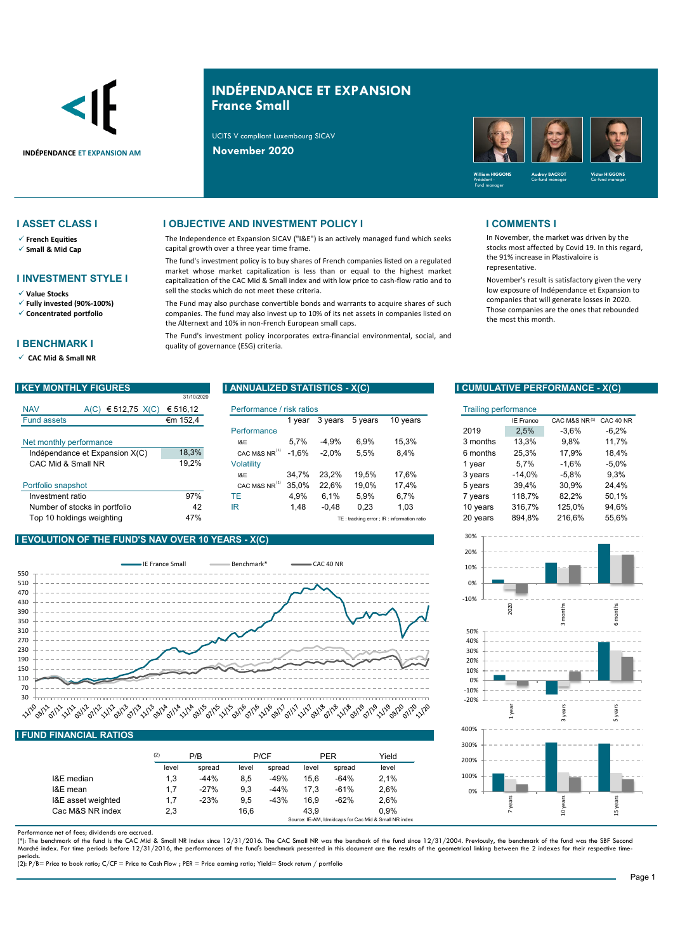

# **INDÉPENDANCE ET EXPANSION France Small**

The Independence et Expansion SICAV ("I&E") is an actively managed fund which seeks

The fund's investment policy is to buy shares of French companies listed on a regulated market whose market capitalization is less than or equal to the highest market capitalization of the CAC Mid & Small index and with low price to cash-flow ratio and to

The Fund may also purchase convertible bonds and warrants to acquire shares of such companies. The fund may also invest up to 10% of its net assets in companies listed on

The Fund's investment policy incorporates extra-financial environmental, social, and

UCITS V compliant Luxembourg SICAV

capital growth over a three year time frame.

sell the stocks which do not meet these criteria.

the Alternext and 10% in non-French European small caps.



### **I ASSET CLASS I I OBJECTIVE AND INVESTMENT POLICY I I COMMENTS I**

- **French Equities**
- **Small & Mid Cap**
- **I INVESTMENT STYLE I**
- **Value Stocks**
- **Fully invested (90%-100%)**
- **Concentrated portfolio**

### **I BENCHMARK I**

**CAC Mid & Small NR** 

|                    |                                | 31/10/2020 |                           |         |         |         |                                            |                             |                  |               |           |
|--------------------|--------------------------------|------------|---------------------------|---------|---------|---------|--------------------------------------------|-----------------------------|------------------|---------------|-----------|
| <b>NAV</b>         | € 512,75 $X(C)$<br>A(C)        | € 516,12   | Performance / risk ratios |         |         |         |                                            | <b>Trailing performance</b> |                  |               |           |
| <b>Fund assets</b> |                                | €m 152,4   |                           | 1 vear  | 3 years | 5 years | 10 years                                   |                             | <b>IE France</b> | CAC M&S NR(1) | CAC 40 NR |
|                    |                                |            | Performance               |         |         |         |                                            | 2019                        | 2,5%             | $-3.6%$       | $-6,2%$   |
|                    | Net monthly performance        |            | I&E                       | 5.7%    | $-4,9%$ | 6,9%    | 15,3%                                      | 3 months                    | 13.3%            | 9,8%          | 11,7%     |
|                    | Indépendance et Expansion X(C) | 18,3%      | CAC M&S NR <sup>(1)</sup> | $-1.6%$ | $-2.0%$ | 5,5%    | 8,4%                                       | 6 months                    | 25.3%            | 17.9%         | 18,4%     |
| CAC Mid & Small NR |                                | 19,2%      | Volatilitv                |         |         |         |                                            | vear                        | 5.7%             | $-1.6%$       | $-5.0\%$  |
|                    |                                |            | I&E                       | 34.7%   | 23.2%   | 19.5%   | 17.6%                                      | 3 years                     | $-14.0\%$        | $-5.8%$       | 9,3%      |
| Portfolio snapshot |                                |            | CAC M&S NR <sup>(1)</sup> | 35.0%   | 22.6%   | 19.0%   | 17.4%                                      | 5 years                     | 39.4%            | 30,9%         | 24,4%     |
| Investment ratio   |                                | 97%        | <b>TE</b>                 | 4,9%    | 6.1%    | 5,9%    | 6,7%                                       | 7 years                     | 118,7%           | 82,2%         | 50,1%     |
|                    | Number of stocks in portfolio  | 42         | IR                        | 1,48    | $-0.48$ | 0,23    | 1,03                                       | 10 years                    | 316,7%           | 125.0%        | 94,6%     |
|                    | Top 10 holdings weighting      | 47%        |                           |         |         |         | TE: tracking error ; IR: information ratio | 20 years                    | 894,8%           | 216.6%        | 55,6%     |

quality of governance (ESG) criteria.

### **I EVOLUTION OF THE FUND'S NAV OVER 10 YEARS - X(C)**



### **I FUND FINANCIAL RATIOS**

|                    | (2)   | P/B    |       | P/CF   |       | PER    | Yield                                                 |  |
|--------------------|-------|--------|-------|--------|-------|--------|-------------------------------------------------------|--|
|                    | level | spread | level | spread | level | spread | level                                                 |  |
| I&E median         | 1,3   | $-44%$ | 8.5   | $-49%$ | 15.6  | $-64%$ | 2.1%                                                  |  |
| I&E mean           | 1.7   | $-27%$ | 9.3   | $-44%$ | 17.3  | $-61%$ | 2.6%                                                  |  |
| I&E asset weighted | 1.7   | $-23%$ | 9.5   | $-43%$ | 16.9  | $-62%$ | 2.6%                                                  |  |
| Cac M&S NR index   | 2,3   |        | 16.6  |        | 43.9  |        | 0.9%                                                  |  |
|                    |       |        |       |        |       |        | Source: IE-AM, Idmidcaps for Cac Mid & Small NR index |  |

Performance net of fees; dividends are accrued.

(\*): The benchmark of the fund is the CAC Mid & Small NR index since 12/31/2016. The CAC Small NR was the benchark of the fund since 12/31/2004. Previously, the benchmark of the fund was the SBF Second<br>Marché index. For ti

periods. (2): P/B= Price to book ratio; C/CF = Price to Cash Flow ; PER = Price earning ratio; Yield= Stock return / portfolio

In November, the market was driven by the stocks most affected by Covid 19. In this regard, the 91% increase in Plastivaloire is representative.

November's result is satisfactory given the very low exposure of Indépendance et Expansion to companies that will generate losses in 2020. Those companies are the ones that rebounded the most this month.

### **I KEY MONTHLY FIGURES I ANNUALIZED STATISTICS - X(C) I CUMULATIVE PERFORMANCE - X(C)**

| isk ratios |         |         |                                               | <b>Trailing performance</b> |                  |               |           |
|------------|---------|---------|-----------------------------------------------|-----------------------------|------------------|---------------|-----------|
| 1 year     | 3 years | 5 years | 10 years                                      |                             | <b>IE France</b> | CAC M&S NR(1) | CAC 40 NR |
|            |         |         |                                               | 2019                        | 2,5%             | $-3.6%$       | $-6,2%$   |
| 5,7%       | $-4.9%$ | 6.9%    | 15.3%                                         | 3 months                    | 13.3%            | 9.8%          | 11,7%     |
| $-1,6%$    | $-2.0%$ | 5.5%    | 8.4%                                          | 6 months                    | 25,3%            | 17.9%         | 18.4%     |
|            |         |         |                                               | 1 year                      | 5.7%             | $-1.6%$       | $-5.0\%$  |
| 34,7%      | 23.2%   | 19.5%   | 17,6%                                         | 3 years                     | -14.0%           | $-5.8\%$      | $9.3\%$   |
| 35.0%      | 22,6%   | 19,0%   | 17,4%                                         | 5 years                     | 39,4%            | 30,9%         | 24,4%     |
| 4,9%       | 6.1%    | 5.9%    | 6.7%                                          | 7 years                     | 118.7%           | 82.2%         | 50,1%     |
| 1,48       | $-0.48$ | 0.23    | 1,03                                          | 10 years                    | 316,7%           | 125,0%        | 94,6%     |
|            |         |         | $TE:$ tracking error : IR : information ratio | 20 years                    | 894.8%           | 216.6%        | 55.6%     |